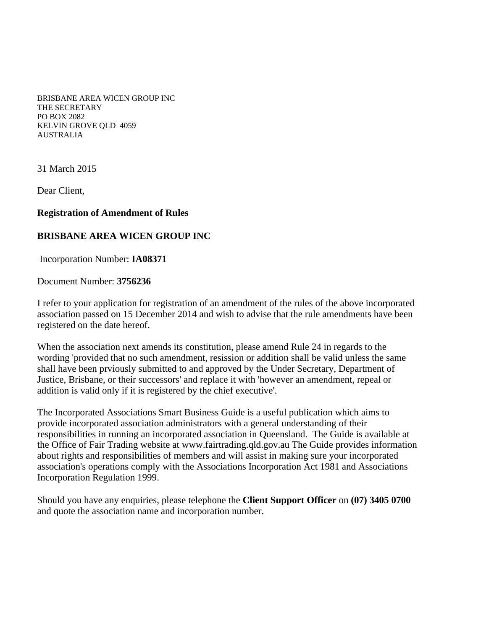BRISBANE AREA WICEN GROUP INC THE SECRETARY PO BOX 2082 KELVIN GROVE QLD 4059 AUSTRALIA

31 March 2015

Dear Client,

## **Registration of Amendment of Rules**

## **BRISBANE AREA WICEN GROUP INC**

Incorporation Number: **IA08371**

Document Number: **3756236**

I refer to your application for registration of an amendment of the rules of the above incorporated association passed on 15 December 2014 and wish to advise that the rule amendments have been registered on the date hereof.

When the association next amends its constitution, please amend Rule 24 in regards to the wording 'provided that no such amendment, resission or addition shall be valid unless the same shall have been prviously submitted to and approved by the Under Secretary, Department of Justice, Brisbane, or their successors' and replace it with 'however an amendment, repeal or addition is valid only if it is registered by the chief executive'.

The Incorporated Associations Smart Business Guide is a useful publication which aims to provide incorporated association administrators with a general understanding of their responsibilities in running an incorporated association in Queensland. The Guide is available at the Office of Fair Trading website at www.fairtrading.qld.gov.au The Guide provides information about rights and responsibilities of members and will assist in making sure your incorporated association's operations comply with the Associations Incorporation Act 1981 and Associations Incorporation Regulation 1999.

Should you have any enquiries, please telephone the **Client Support Officer** on **(07) 3405 0700** and quote the association name and incorporation number.